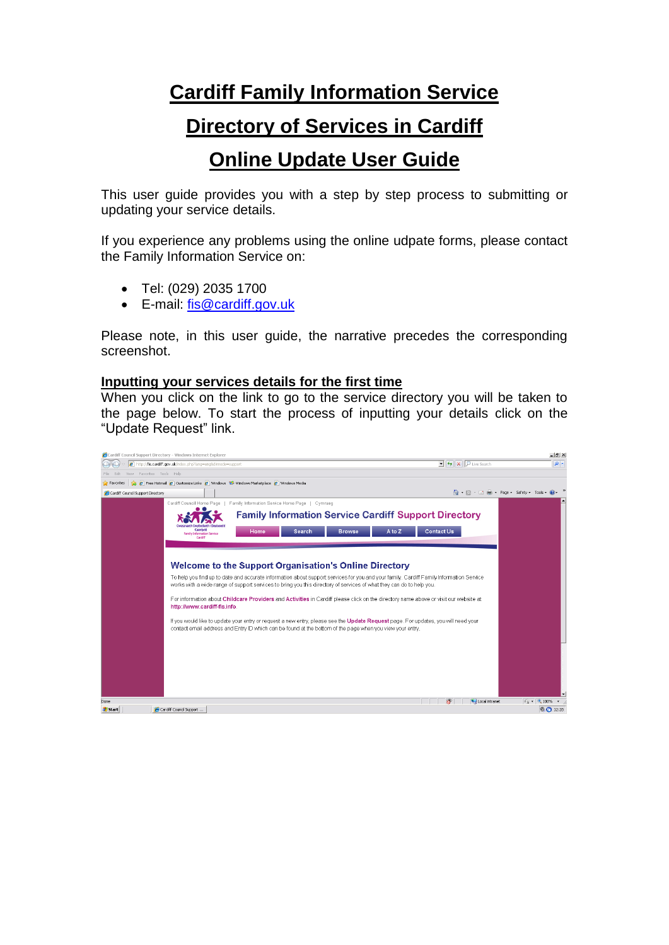# **Cardiff Family Information Service**

### **Directory of Services in Cardiff**

## **Online Update User Guide**

This user guide provides you with a step by step process to submitting or updating your service details.

If you experience any problems using the online udpate forms, please contact the Family Information Service on:

- Tel: (029) 2035 1700
- E-mail: [fis@cardiff.gov.uk](mailto:fis@cardiff.gov.uk)

Please note, in this user guide, the narrative precedes the corresponding screenshot.

### **Inputting your services details for the first time**

When you click on the link to go to the service directory you will be taken to the page below. To start the process of inputting your details click on the "Update Request" link.

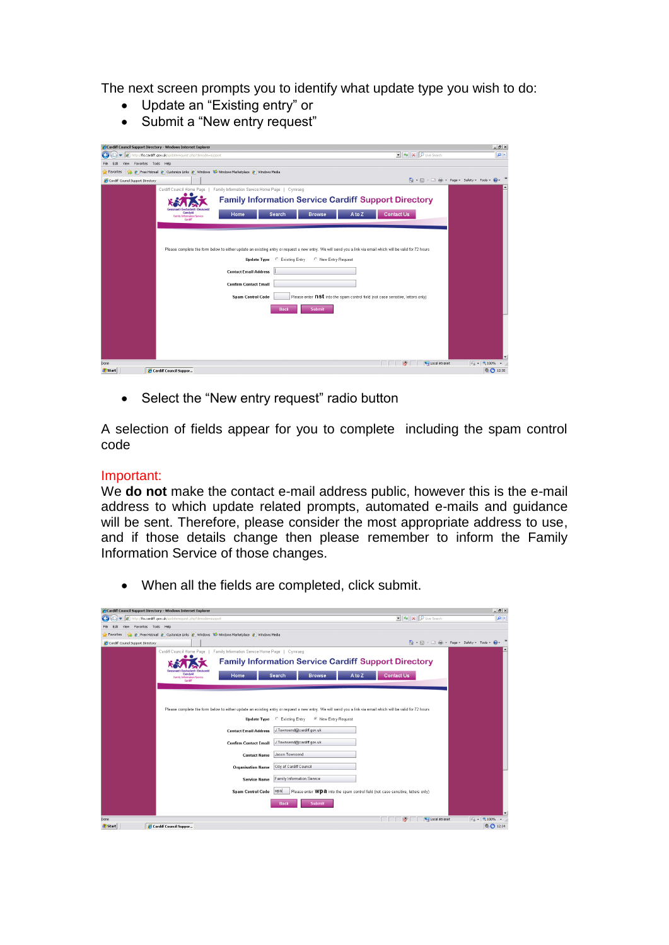The next screen prompts you to identify what update type you wish to do:

- Update an "Existing entry" or
- Submit a "New entry request"

| Cardiff Council Support Directory - Windows Internet Explorer                                                                                                |                                                                                           | $  $ $ $ $ $ $\times$                  |
|--------------------------------------------------------------------------------------------------------------------------------------------------------------|-------------------------------------------------------------------------------------------|----------------------------------------|
| http://fis.cardiff.gov.uk/updaterequest.php?dirmode=support<br>$\bullet$                                                                                     | $\mathbf{v}$ $\mathbf{v}$ $\mathbf{v}$ $\mathbf{v}$ $\mathbf{v}$ $\mathbf{v}$ Live Search | $\rho$ .                               |
| Edit View Favorites Tools Help<br>File                                                                                                                       |                                                                                           |                                        |
| B Free Hotmail B Customize Links B Windows 10 Windows Marketplace B Windows Media<br>Favorites                                                               |                                                                                           |                                        |
| Cardiff Council Support Directory                                                                                                                            |                                                                                           | 心 同 - □曲 - Page - Safety - Tools - @ - |
| Family Information Service Home Page   Cymraeg<br>Cardiff Council Home Page                                                                                  |                                                                                           |                                        |
| <b>Family Information Service Cardiff Support Directory</b>                                                                                                  |                                                                                           |                                        |
| Caerdydd<br>A to Z<br>Home<br>Search<br><b>Browse</b><br>Family Information Service                                                                          | Contact Us                                                                                |                                        |
| Cardiff                                                                                                                                                      |                                                                                           |                                        |
|                                                                                                                                                              |                                                                                           |                                        |
|                                                                                                                                                              |                                                                                           |                                        |
| Please complete the form below to either update an existing entry or request a new entry. We will send you a link via email which will be valid for 72 hours |                                                                                           |                                        |
|                                                                                                                                                              |                                                                                           |                                        |
| C New Entry Request<br>Update Type C Existing Entry                                                                                                          |                                                                                           |                                        |
| <b>Contact Email Address</b>                                                                                                                                 |                                                                                           |                                        |
| <b>Confirm Contact Email</b>                                                                                                                                 |                                                                                           |                                        |
| Please enter nst into the spam control field (not case sensitive, letters only)<br><b>Spam Control Code</b>                                                  |                                                                                           |                                        |
|                                                                                                                                                              |                                                                                           |                                        |
| <b>Submit</b><br><b>Back</b>                                                                                                                                 |                                                                                           |                                        |
|                                                                                                                                                              |                                                                                           |                                        |
|                                                                                                                                                              |                                                                                           |                                        |
|                                                                                                                                                              |                                                                                           |                                        |
|                                                                                                                                                              |                                                                                           |                                        |
|                                                                                                                                                              |                                                                                           |                                        |
| Done                                                                                                                                                         | Local Intranet<br>Æ                                                                       | $\sqrt{4}$ $\sqrt{6}$ 100% $\sqrt{2}$  |
| <b><i><u>de Start</u></i></b><br>Cardiff Council Suppor                                                                                                      |                                                                                           | 0.0912:30                              |

• Select the "New entry request" radio button

A selection of fields appear for you to complete including the spam control code

### Important:

We **do not** make the contact e-mail address public, however this is the e-mail address to which update related prompts, automated e-mails and guidance will be sent. Therefore, please consider the most appropriate address to use, and if those details change then please remember to inform the Family Information Service of those changes.

• When all the fields are completed, click submit.

| Cardiff Council Support Directory - Windows Internet Explorer                               |                                                                                                                                                              | $-15 \times$                              |
|---------------------------------------------------------------------------------------------|--------------------------------------------------------------------------------------------------------------------------------------------------------------|-------------------------------------------|
| http://fis.cardiff.gov.uk/updaterequest.php?dirmode=support                                 | $\blacktriangleright$ $\blacktriangleleft$ $\blacktriangleright$ $\blacktriangleright$ $\blacktriangleright$ Live Search                                     | $  \mathfrak{a}  $ .                      |
| View Favorites Tools Help<br>Edit                                                           |                                                                                                                                                              |                                           |
| Pree Hotmail C Customize Links C Windows & Windows Marketplace C Windows Media<br>Favorites |                                                                                                                                                              |                                           |
| Cardiff Council Support Directory                                                           |                                                                                                                                                              | ● 同·□曲· Page · Safety · Tools · ●         |
| Family Information Service Home Page   Cymraeg<br>Cardiff Council Home Page                 |                                                                                                                                                              |                                           |
|                                                                                             | <b>Family Information Service Cardiff Support Directory</b>                                                                                                  |                                           |
| Caerdydd<br>Home<br>Family Information Service<br>Cardiff                                   | <b>Contact Us</b><br>A to Z<br>Search<br><b>Browse</b>                                                                                                       |                                           |
|                                                                                             |                                                                                                                                                              |                                           |
|                                                                                             |                                                                                                                                                              |                                           |
|                                                                                             | Please complete the form below to either update an existing entry or request a new entry. We will send you a link via email which will be valid for 72 hours |                                           |
|                                                                                             | <sup>C</sup> New Entry Request<br><b>Update Type</b> C Existing Entry                                                                                        |                                           |
| <b>Contact Email Address</b>                                                                | J. Townsend@cardiff.gov.uk                                                                                                                                   |                                           |
| <b>Confirm Contact Email</b>                                                                | J. Townsend@cardiff.gov.uk                                                                                                                                   |                                           |
| <b>Contact Name</b>                                                                         | Jason Townsend                                                                                                                                               |                                           |
| <b>Organisation Name</b>                                                                    | City of Cardiff Council                                                                                                                                      |                                           |
| <b>Service Name</b>                                                                         | <b>Family Information Service</b>                                                                                                                            |                                           |
|                                                                                             | Spam Control Code   WPa   Please enter WDa into the spam control field (not case sensitive, letters only)                                                    |                                           |
|                                                                                             | Submit<br><b>Back</b>                                                                                                                                        |                                           |
|                                                                                             |                                                                                                                                                              |                                           |
| Done                                                                                        | Local Intranet                                                                                                                                               | $\sqrt{6}$ - $\sqrt{6}$ 100%<br>$\bullet$ |
| <b>B</b> Start<br>Cardiff Council Suppor                                                    |                                                                                                                                                              | ◎ ← 12:34                                 |